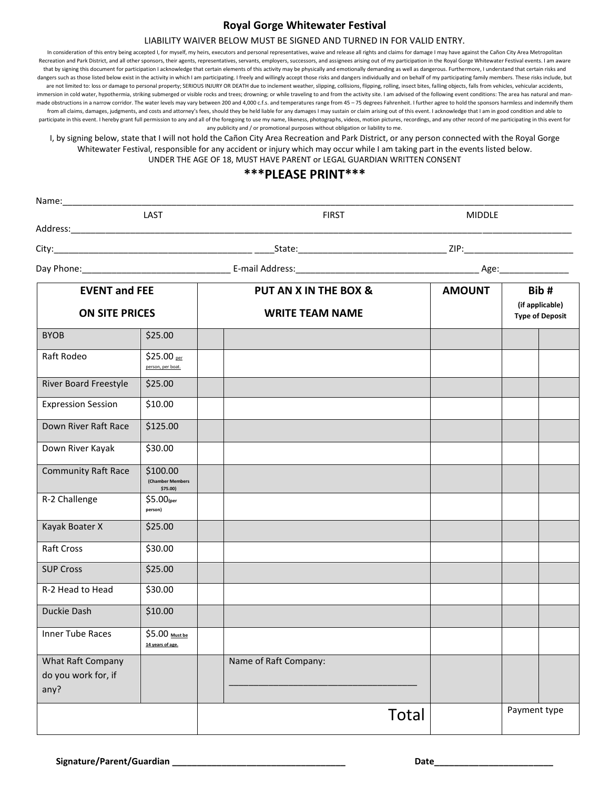## **Royal Gorge Whitewater Festival**

#### LIABILITY WAIVER BELOW MUST BE SIGNED AND TURNED IN FOR VALID ENTRY.

In consideration of this entry being accepted I, for myself, my heirs, executors and personal representatives, waive and release all rights and claims for damage I may have against the Cañon City Area Metropolitan Recreation and Park District, and all other sponsors, their agents, representatives, servants, employers, successors, and assignees arising out of my participation in the Royal Gorge Whitewater Festival events. I am aware that by signing this document for participation I acknowledge that certain elements of this activity may be physically and emotionally demanding as well as dangerous. Furthermore, I understand that certain risks and dangers such as those listed below exist in the activity in which I am participating. I freely and willingly accept those risks and dangers individually and on behalf of my participating family members. These risks include are not limited to: loss or damage to personal property; SERIOUS INJURY OR DEATH due to inclement weather, slipping, collisions, flipping, rolling, insect bites, falling objects, falls from vehicles, vehicular accidents, immersion in cold water, hypothermia, striking submerged or visible rocks and trees; drowning; or while traveling to and from the activity site. I am advised of the following event conditions: The area has natural and manmade obstructions in a narrow corridor. The water levels may vary between 200 and 4,000 c.f.s. and temperatures range from 45 – 75 degrees Fahrenheit. I further agree to hold the sponsors harmless and indemnify them from all claims, damages, judgments, and costs and attorney's fees, should they be held liable for any damages I may sustain or claim arising out of this event. I acknowledge that I am in good condition and able to participate in this event. I hereby grant full permission to any and all of the foregoing to use my name, likeness, photographs, videos, motion pictures, recordings, and any other record of me participating in this event f any publicity and / or promotional purposes without obligation or liability to me.

I, by signing below, state that I will not hold the Cañon City Area Recreation and Park District, or any person connected with the Royal Gorge Whitewater Festival, responsible for any accident or injury which may occur while I am taking part in the events listed below. UNDER THE AGE OF 18, MUST HAVE PARENT or LEGAL GUARDIAN WRITTEN CONSENT

### **\*\*\*PLEASE PRINT\*\*\***

| Name:                                            |                                            |  |                        |               |                                                   |  |
|--------------------------------------------------|--------------------------------------------|--|------------------------|---------------|---------------------------------------------------|--|
|                                                  | LAST                                       |  | <b>FIRST</b>           | <b>MIDDLE</b> |                                                   |  |
| Address: National Address:                       |                                            |  |                        |               |                                                   |  |
|                                                  |                                            |  |                        |               |                                                   |  |
|                                                  |                                            |  |                        |               |                                                   |  |
| <b>EVENT and FEE</b><br><b>ON SITE PRICES</b>    |                                            |  | PUT AN X IN THE BOX &  | <b>AMOUNT</b> | Bib#<br>(if applicable)<br><b>Type of Deposit</b> |  |
|                                                  |                                            |  | <b>WRITE TEAM NAME</b> |               |                                                   |  |
| <b>BYOB</b>                                      | \$25.00                                    |  |                        |               |                                                   |  |
| Raft Rodeo                                       | \$25.00 per<br>person, per boat.           |  |                        |               |                                                   |  |
| River Board Freestyle                            | \$25.00                                    |  |                        |               |                                                   |  |
| <b>Expression Session</b>                        | \$10.00                                    |  |                        |               |                                                   |  |
| Down River Raft Race                             | \$125.00                                   |  |                        |               |                                                   |  |
| Down River Kayak                                 | \$30.00                                    |  |                        |               |                                                   |  |
| <b>Community Raft Race</b>                       | \$100.00<br>(Chamber Members<br>$$75.00$ ) |  |                        |               |                                                   |  |
| R-2 Challenge                                    | $$5.00$ (per<br>person)                    |  |                        |               |                                                   |  |
| Kayak Boater X                                   | \$25.00                                    |  |                        |               |                                                   |  |
| Raft Cross                                       | \$30.00                                    |  |                        |               |                                                   |  |
| <b>SUP Cross</b>                                 | \$25.00                                    |  |                        |               |                                                   |  |
| R-2 Head to Head                                 | \$30.00                                    |  |                        |               |                                                   |  |
| Duckie Dash                                      | \$10.00                                    |  |                        |               |                                                   |  |
| <b>Inner Tube Races</b>                          | \$5.00 Must be<br>14 years of age.         |  |                        |               |                                                   |  |
| What Raft Company<br>do you work for, if<br>any? |                                            |  | Name of Raft Company:  |               |                                                   |  |
|                                                  |                                            |  | Total                  |               | Payment type                                      |  |